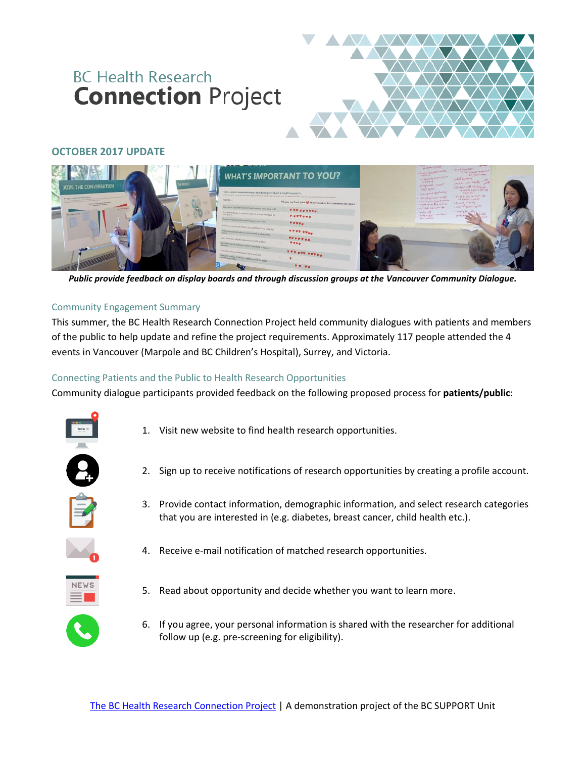# **BC Health Research Connection Project**



## **OCTOBER 2017 UPDATE**



*Public provide feedback on display boards and through discussion groups at the Vancouver Community Dialogue.*

### Community Engagement Summary

This summer, the BC Health Research Connection Project held community dialogues with patients and members of the public to help update and refine the project requirements. Approximately 117 people attended the 4 events in Vancouver (Marpole and BC Children's Hospital), Surrey, and Victoria.

### Connecting Patients and the Public to Health Research Opportunities

Community dialogue participants provided feedback on the following proposed process for **patients/public**:



- 1. Visit new website to find health research opportunities.
- 2. Sign up to receive notifications of research opportunities by creating a profile account.
- 3. Provide contact information, demographic information, and select research categories that you are interested in (e.g. diabetes, breast cancer, child health etc.).



4. Receive e-mail notification of matched research opportunities.



- 5. Read about opportunity and decide whether you want to learn more.
- 6. If you agree, your personal information is shared with the researcher for additional follow up (e.g. pre-screening for eligibility).